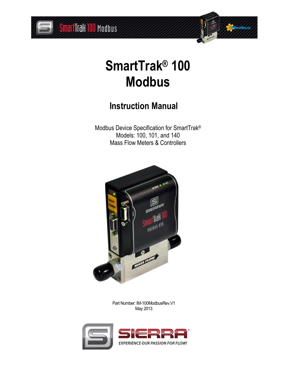



# **SmartTrak® 100 Modbus**

## **Instruction Manual**

Modbus Device Specification for SmartTrak® Models: 100, 101, and 140 Mass Flow Meters & Controllers



Part Number: IM-100ModbusRev.V1 May 2013

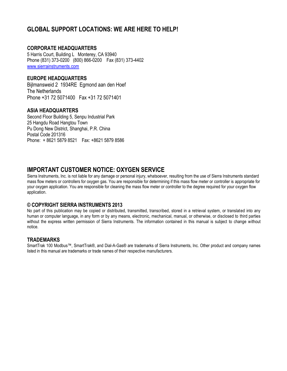## **GLOBAL SUPPORT LOCATIONS: WE ARE HERE TO HELP!**

#### **CORPORATE HEADQUARTERS**

5 Harris Court, Building L Monterey, CA 93940 Phone (831) 373-0200 (800) 866-0200 Fax (831) 373-4402 [www.sierrainstruments.com](https://test.www.sierrainstruments.com/)

#### **EUROPE HEADQUARTERS**

Bijlmansweid 2 1934RE Egmond aan den Hoef The Netherlands Phone +31 72 5071400 Fax +31 72 5071401

#### **ASIA HEADQUARTERS**

Second Floor Building 5, Senpu Industrial Park 25 Hangdu Road Hangtou Town Pu Dong New District, Shanghai, P.R. China Postal Code 201316 Phone: + 8621 5879 8521 Fax: +8621 5879 8586

### **IMPORTANT CUSTOMER NOTICE: OXYGEN SERVICE**

Sierra Instruments, Inc. is not liable for any damage or personal injury, whatsoever, resulting from the use of Sierra Instruments standard mass flow meters or controllers for oxygen gas. You are responsible for determining if this mass flow meter or controller is appropriate for your oxygen application. You are responsible for cleaning the mass flow meter or controller to the degree required for your oxygen flow application.

#### **© COPYRIGHT SIERRA INSTRUMENTS 2013**

No part of this publication may be copied or distributed, transmitted, transcribed, stored in a retrieval system, or translated into any human or computer language, in any form or by any means, electronic, mechanical, manual, or otherwise, or disclosed to third parties without the express written permission of Sierra Instruments. The information contained in this manual is subject to change without notice.

#### **TRADEMARKS**

SmartTrak 100 Modbus™, SmartTrak®, and Dial-A-Gas® are trademarks of Sierra Instruments, Inc. Other product and company names listed in this manual are trademarks or trade names of their respective manufacturers.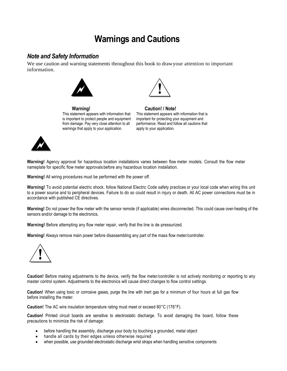## **Warnings and Cautions**

#### *Note and Safety Information*

We use caution and warning statements throughout this book to drawyour attention to important information.



This statement appears with information that is important to protect people and equipment from damage. Pay very close attention to all warnings that apply to your application.



**Warning! Caution! / Note!** This statement appears with information that is important for protecting your equipment and performance. Read and follow all cautions that apply to your application.



**Warning!** Agency approval for hazardous location installations varies between flow meter models. Consult the flow meter nameplate for specific flow meter approvals before any hazardous location installation.

**Warning!** All wiring procedures must be performed with the power off.

**Warning!** To avoid potential electric shock, follow National Electric Code safety practices or your local code when wiring this unit to a power source and to peripheral devices. Failure to do so could result in injury or death. All AC power connections must be in accordance with published CE directives.

**Warning!** Do not power the flow meter with the sensor remote (if applicable) wires disconnected. This could cause over-heating of the sensors and/or damage to the electronics.

**Warning!** Before attempting any flow meter repair, verify that the line is de-pressurized.

**Warning!** Always remove main power before disassembling any part of the mass flow meter/controller.



**Caution!** Before making adjustments to the device, verify the flow meter/controller is not actively monitoring or reporting to any master control system. Adjustments to the electronics will cause direct changes to flow control settings.

**Caution!** When using toxic or corrosive gases, purge the line with inert gas for a minimum of four hours at full gas flow before installing the meter.

**Caution!** The AC wire insulation temperature rating must meet or exceed 80°C (176°F).

**Caution!** Printed circuit boards are sensitive to electrostatic discharge. To avoid damaging the board, follow these precautions to minimize the risk of damage:

- before handling the assembly, discharge your body by touching a grounded, metal object
- handle all cards by their edges unless otherwise required
- when possible, use grounded electrostatic discharge wrist straps when handling sensitive components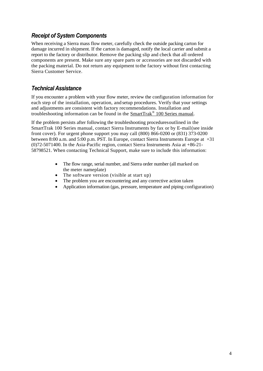### *Receipt of System Components*

When receiving a Sierra mass flow meter, carefully check the outside packing carton for damage incurred in shipment. If the carton is damaged, notify the local carrier and submit a report to the factory or distributor. Remove the packing slip and check that all ordered components are present. Make sure any spare parts or accessories are not discarded with the packing material. Do not return any equipment tothe factory without first contacting Sierra Customer Service.

### *Technical Assistance*

If you encounter a problem with your flow meter, review the configuration information for each step of the installation, operation, and setup procedures. Verify that your settings and adjustments are consistent with factory recommendations. Installation and troubleshooting information can be found in the **SmartTrak<sup>®</sup> 100 Series manual**.

If the problem persists after following the troubleshooting proceduresoutlined in the SmartTrak 100 Series manual, contact Sierra Instruments by fax or by E-mail(see inside front cover). For urgent phone support you may call (800) 866-0200 or (831) 373-0200 between 8:00 a.m. and 5:00 p.m. PST. In Europe, contact Sierra Instruments Europe at +31 (0)72-5071400. In the Asia-Pacific region, contact Sierra Instruments Asia at +86-21- 58798521. When contacting Technical Support, make sure to include this information:

- The flow range, serial number, and Sierra order number (all marked on the meter nameplate)
- The software version (visible at start up)
- The problem you are encountering and any corrective action taken
- Application information (gas, pressure, temperature and piping configuration)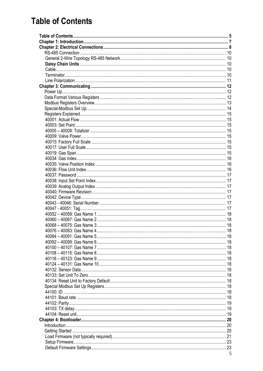## <span id="page-4-0"></span>**Table of Contents**

| $\overline{z}$ |
|----------------|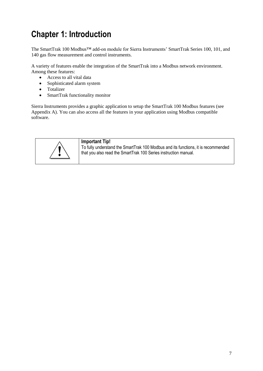## <span id="page-6-0"></span>**Chapter 1: Introduction**

The SmartTrak 100 Modbus™ add-on module for Sierra Instruments' SmartTrak Series 100, 101, and 140 gas flow measurement and control instruments.

A variety of features enable the integration of the SmartTrak into a Modbus network environment. Among these features:

- Access to all vital data
- Sophisticated alarm system
- Totalizer
- SmartTrak functionality monitor

Sierra Instruments provides a graphic application to setup the SmartTrak 100 Modbus features (see Appendix A). You can also access all the features in your application using Modbus compatible software.



#### **Important Tip!**

To fully understand the SmartTrak 100 Modbus and its functions, it is recommended that you also read the SmartTrak 100 Series instruction manual. !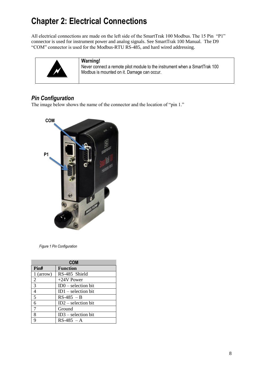## <span id="page-7-0"></span>**Chapter 2: Electrical Connections**

All electrical connections are made on the left side of the SmartTrak 100 Modbus. The 15 Pin "P1" connector is used for instrument power and analog signals. See SmartTrak 100 Manual. The D9 "COM" connector is used for the Modbus-RTU RS-485, and hard wired addressing.



#### **Warning!**

Never connect a remote pilot module to the instrument when a SmartTrak 100 Modbus is mounted on it. Damage can occur.

## *Pin Configuration*

The image below shows the name of the connector and the location of "pin 1."



*Figure 1 Pin Configuration*

| <b>COM</b>  |                       |  |  |
|-------------|-----------------------|--|--|
| Pin#        | <b>Function</b>       |  |  |
| $1$ (arrow) | RS-485 Shield         |  |  |
| 2           | $+24V$ Power          |  |  |
| 3           | $ID0 - selection bit$ |  |  |
| 4           | $ID1 - selection bit$ |  |  |
| 5           | $RS-485 - B$          |  |  |
| 6           | $ID2 - selection bit$ |  |  |
| 7           | Ground                |  |  |
| 8           | $ID3 - selection bit$ |  |  |
| Q           | $RS-485 - A$          |  |  |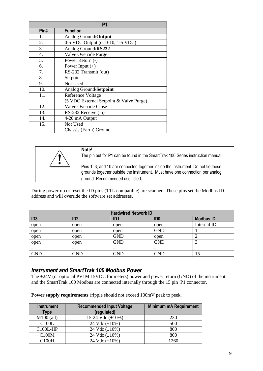|                  | P <sub>1</sub>                          |  |
|------------------|-----------------------------------------|--|
| Pin#             | <b>Function</b>                         |  |
| 1.               | Analog Ground/Output                    |  |
| 2.               | 0-5 VDC Output (or 0-10, 1-5 VDC)       |  |
| 3.               | Analog Ground/RS232                     |  |
| $\overline{4}$ . | Valve Override Purge                    |  |
| 5.               | Power Return (-)                        |  |
| 6.               | Power Input $(+)$                       |  |
| 7.               | RS-232 Transmit (out)                   |  |
| 8.               | Setpoint                                |  |
| 9.               | Not Used                                |  |
| 10.              | Analog Ground/Setpoint                  |  |
| 11.              | Reference Voltage                       |  |
|                  | (5 VDC External Setpoint & Valve Purge) |  |
| 12.              | Valve Override Close                    |  |
| 13.              | RS-232 Receive (in)                     |  |
| 14.              | 4-20 mA Output                          |  |
| 15.              | Not Used                                |  |
|                  | Chassis (Earth) Ground                  |  |

| Note!<br>The pin out for P1 can be found in the SmartTrak 100 Series instruction manual.                                                                                                            |
|-----------------------------------------------------------------------------------------------------------------------------------------------------------------------------------------------------|
| Pins 1, 3, and 10 are connected together inside the instrument. Do not tie these<br>grounds together outside the instrument. Must have one connection per analog<br>ground. Recommended use listed. |

During power-up or reset the ID pins (TTL compatible) are scanned. These pins set the Modbus ID address and will override the software set addresses.

| <b>Hardwired Network ID</b> |                 |                 |                 |                  |
|-----------------------------|-----------------|-----------------|-----------------|------------------|
| ID <sub>3</sub>             | ID <sub>2</sub> | ID <sub>1</sub> | ID <sub>0</sub> | <b>Modbus ID</b> |
| open                        | open            | open            | open            | Internal ID      |
| open                        | open            | open            | <b>GND</b>      |                  |
| open                        | open            | <b>GND</b>      | open            |                  |
| open                        | open            | <b>GND</b>      | <b>GND</b>      |                  |
|                             |                 |                 |                 |                  |
| <b>GND</b>                  | <b>GND</b>      | <b>GND</b>      | <b>GND</b>      | 15               |

### *Instrument and SmartTrak 100 Modbus Power*

The +24V (or optional PV1M 15VDC for meters) power and power return (GND) of the instrument and the SmartTrak 100 Modbus are connected internally through the 15 pin P1 connector.

**Power supply requirements** (ripple should not exceed 100mV peak to peek.

| <b>Instrument</b><br>Type | <b>Recommended Input Voltage</b><br>(regulated) | <b>Minimum mA Requirement</b> |
|---------------------------|-------------------------------------------------|-------------------------------|
| $M100$ (all)              | 15-24 Vdc $(\pm 10\%)$                          | 230                           |
| C100L                     | 24 Vdc $(\pm 10\%)$                             | 500                           |
| $C100L$ -HP               | 24 Vdc $(\pm 10\%)$                             | 800                           |
| C100M                     | 24 Vdc $(\pm 10\%)$                             | 800                           |
| C100H                     | 24 Vdc $(\pm 10\%)$                             | 1260                          |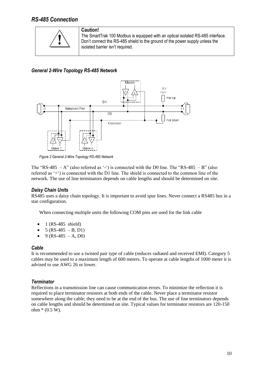### <span id="page-9-0"></span>*RS-485 Connection*



**Caution!**

The SmartTrak 100 Modbus is equipped with an optical isolated RS-485 interface. Don't connect the RS-485 shield to the ground of the power supply unless the isolated barrier isn't required.

<span id="page-9-1"></span>*General 2-Wire Topology RS-485 Network*



*Figure 2 General 2-Wire Topology RS-485 Network*

The "RS-485  $-A$ " (also referred as '-') is connected with the D0 line. The "RS-485  $-B$ " (also referred as '+') is connected with the D1 line. The shield is connected to the common line of the network. The use of line terminators depends on cable lengths and should be determined on site.

#### <span id="page-9-2"></span>*Daisy Chain Units*

RS485 uses a daisy chain topology. It is important to avoid spur lines. Never connect a RS485 bus in a star configuration.

When connecting multiple units the following COM pins are used for the link cable

- 1 (RS-485 shield)
- 5 (RS-485 B, D1)
- $9$  (RS-485 A, D0)

#### <span id="page-9-3"></span>*Cable*

It is recommended to use a twisted pair type of cable (reduces radiated and received EMI). Category 5 cables may be used to a maximum length of 600 meters. To operate at cable lengths of 1000 meter it is advised to use AWG 26 or lower.

#### <span id="page-9-4"></span>*Terminator*

Reflections in a transmission line can cause communication errors. To minimize the reflection it is required to place terminator resistors at both ends of the cable. Never place a terminator resistor somewhere along the cable; they need to be at the end of the bus. The use of line terminators depends on cable lengths and should be determined on site. Typical values for terminator resistors are 120-150  $ohm * (0.5 W)$ .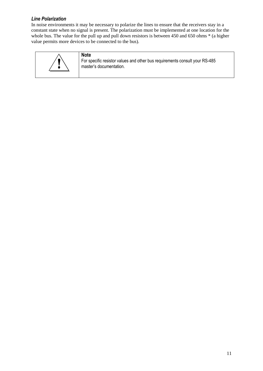#### <span id="page-10-0"></span>*Line Polarization*

In noise environments it may be necessary to polarize the lines to ensure that the receivers stay in a constant state when no signal is present. The polarization must be implemented at one location for the whole bus. The value for the pull up and pull down resistors is between 450 and 650 ohms  $*$  (a higher value permits more devices to be connected to the bus).



**Note** For specific resistor values and other bus requirements consult your RS-485 master's documentation.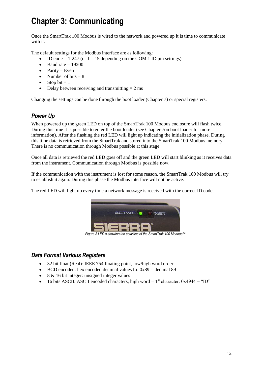## <span id="page-11-0"></span>**Chapter 3: Communicating**

Once the SmartTrak 100 Modbus is wired to the network and powered up it is time to communicate with it.

The default settings for the Modbus interface are as following:

- ID code =  $1-247$  (or  $1-15$  depending on the COM 1 ID pin settings)
- $\bullet$  Baud rate = 19200
- $\bullet$  Parity = Even
- Number of bits  $= 8$
- $\bullet$  Stop bit = 1
- $\bullet$  Delay between receiving and transmitting = 2 ms

Changing the settings can be done through the boot loader (Chapter 7) or special registers.

## <span id="page-11-1"></span>*Power Up*

When powered up the green LED on top of the SmartTrak 100 Modbus enclosure will flash twice. During this time it is possible to enter the boot loader (see Chapter 7on boot loader for more information). After the flashing the red LED will light up indicating the initialization phase. During this time data is retrieved from the SmartTrak and stored into the SmartTrak 100 Modbus memory. There is no communication through Modbus possible at this stage.

Once all data is retrieved the red LED goes off and the green LED will start blinking as it receives data from the instrument. Communication through Modbus is possible now.

If the communication with the instrument is lost for some reason, the SmartTrak 100 Modbus will try to establish it again. During this phase the Modbus interface will not be active.

The red LED will light up every time a network message is received with the correct ID code.



*Figure 3 LED's showing the activities of the SmartTrak 100 Modbus™*

### <span id="page-11-2"></span>*Data Format Various Registers*

- 32 bit float (Real): IEEE 754 floating point, low/high word order
- $\bullet$  BCD encoded: hex encoded decimal values f.i.  $0x89$  = decimal 89
- 8 & 16 bit integer: unsigned integer values
- 16 bits ASCII: ASCII encoded characters, high word =  $1<sup>st</sup>$  character. 0x4944 = "ID"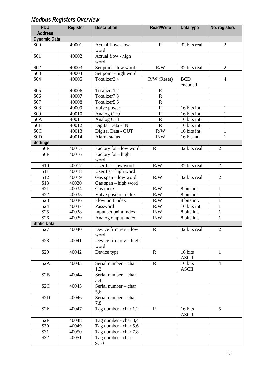## <span id="page-12-0"></span>*Modbus Registers Overview*

| <b>PDU</b>          | <b>Register</b> | <b>Description</b>                                     | <b>Read/Write</b>     | Data type               | No. registers  |
|---------------------|-----------------|--------------------------------------------------------|-----------------------|-------------------------|----------------|
| <b>Address</b>      |                 |                                                        |                       |                         |                |
| <b>Dynamic Data</b> |                 |                                                        |                       |                         |                |
| \$00                | 40001           | Actual flow - low<br>word                              | $\mathbf R$           | 32 bits real            | $\overline{2}$ |
| \$01                | 40002           | Actual flow - high<br>word                             |                       |                         |                |
| \$02                | 40003           | Set point - low word                                   | R/W                   | 32 bits real            | $\overline{2}$ |
| \$03                | 40004           | Set point - high word                                  |                       |                         |                |
| \$04                | 40005           | Totalizer3,4                                           | R/W (Reset)           | <b>BCD</b><br>encoded   | $\overline{4}$ |
| \$05                | 40006           | Totalizer1,2                                           | $\mathbf R$           |                         |                |
| \$06                | 40007           | Totalizer7,8                                           | ${\bf R}$             |                         |                |
| \$07                | 40008           | Totalizer5,6                                           | ${\bf R}$             |                         |                |
| \$08                | 40009           | Valve power                                            | ${\bf R}$             | 16 bits int.            | 1              |
| \$09                | 40010           | Analog CHO                                             | $\overline{\text{R}}$ | 16 bits int.            | $\mathbf{1}$   |
| \$0A                | 40011           | Analog CH1                                             | $\mathbf R$           | 16 bits int.            | 1              |
| \$0 <sub>B</sub>    | 40012           | Digital Data - IN                                      | $\overline{\text{R}}$ | 16 bits int.            | $\mathbf{1}$   |
| \$0C                | 40013           | Digital Data - OUT                                     | R/W                   | 16 bits int.            | $\mathbf{1}$   |
| \$0 <sub>D</sub>    | 40014           | Alarm status                                           | R/W                   | 16 bit int.             | 1              |
| <b>Settings</b>     |                 |                                                        |                       |                         |                |
| \$0E                | 40015           | Factory f.s - low word                                 | $\mathbf R$           | 32 bits real            | $\overline{2}$ |
| \$0F                | 40016           | Factory f.s - high<br>word                             |                       |                         |                |
| \$10                | 40017           | User $f.s - low word$                                  | R/W                   | 32 bits real            | $\overline{2}$ |
| \$11                | 40018           | User $f.s - high word$                                 |                       |                         |                |
| \$12                | 40019           | Gas span - low word                                    | R/W                   | 32 bits real            | $\overline{2}$ |
| \$13                | 40020           | Gas span - high word                                   |                       |                         |                |
| \$21                | 40034           | Gas index                                              | R/W                   | 8 bits int.             | 1              |
| \$22                | 40035           | Valve position index                                   | R/W                   | 8 bits int.             | $\mathbf{1}$   |
| \$23                | 40036           | Flow unit index                                        | R/W                   | 8 bits int.             | 1              |
| \$24                | 40037           | Password                                               | R/W                   | 16 bits int.            | $\mathbf{1}$   |
| \$25                | 40038           | Input set point index                                  | R/W                   | 8 bits int.             | 1              |
| \$26                | 40039           | Analog output index                                    | R/W                   | 8 bits int.             | $\mathbf{1}$   |
| <b>Static Data</b>  |                 |                                                        |                       |                         |                |
| \$27                | 40040           | Device firm $rev - low$<br>word                        | $\mathbf R$           | 32 bits real            | $\overline{2}$ |
| \$28                | 40041           | Device firm rev - high<br>word                         |                       |                         |                |
| \$29                | 40042           | Device type                                            | $\mathbf R$           | 16 bits<br><b>ASCII</b> | 1              |
| \$2A                | 40043           | Serial number - char<br>1,2                            | $\mathbf R$           | 16 bits<br><b>ASCII</b> | $\overline{4}$ |
| \$2B                | 40044           | $\overline{\text{Serial number}} - \text{char}$<br>3,4 |                       |                         |                |
| \$2C                | 40045           | Serial number - char<br>5,6                            |                       |                         |                |
| \$2D                | 40046           | Serial number - char<br>7,8                            |                       |                         |                |
| \$2E                | 40047           | Tag number - char 1,2                                  | $\mathbf R$           | 16 bits<br><b>ASCII</b> | 5              |
| \$2F                | 40048           | Tag number - char 3,4                                  |                       |                         |                |
| \$30                | 40049           | Tag number - char 5,6                                  |                       |                         |                |
| \$31                | 40050           | Tag number - char 7,8                                  |                       |                         |                |
| \$32                | 40051           | Tag number - char<br>9,10                              |                       |                         |                |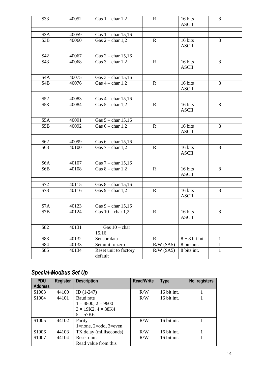| \$33             | 40052 | Gas $1 - char 1,2$               | $\mathbf R$  | 16 bits<br><b>ASCII</b> | 8            |
|------------------|-------|----------------------------------|--------------|-------------------------|--------------|
| \$3A             | 40059 | Gas $1 - char 15,16$             |              |                         |              |
| \$3B             | 40060 | Gas $2$ – char 1,2               | $\mathbf R$  | 16 bits<br><b>ASCII</b> | 8            |
| \$42             | 40067 | Gas $2$ – char 15,16             |              |                         |              |
| \$43             | 40068 | Gas $3$ – char 1,2               | $\mathbf R$  | 16 bits<br><b>ASCII</b> | 8            |
| \$4A             | 40075 | Gas $3$ – char 15,16             |              |                         |              |
| \$4B             | 40076 | Gas $4$ – char 1,2               | $\mathbf R$  | 16 bits<br><b>ASCII</b> | 8            |
| \$52             | 40083 | Gas $4$ – char 15,16             |              |                         |              |
| \$53             | 40084 | Gas $5$ – char 1,2               | $\mathbf R$  | 16 bits<br><b>ASCII</b> | 8            |
| \$5A             | 40091 | Gas $5$ – char 15,16             |              |                         |              |
| \$5B             | 40092 | Gas $6$ – char 1,2               | $\mathbf R$  | 16 bits<br><b>ASCII</b> | 8            |
|                  |       |                                  |              |                         |              |
| \$62             | 40099 | Gas $6 - char 15,16$             | $\mathbf R$  |                         | 8            |
| \$63             | 40100 | Gas $7$ – char 1,2               |              | 16 bits<br><b>ASCII</b> |              |
| \$6A             | 40107 | Gas $7$ – char 15,16             |              |                         |              |
| \$6B             | 40108 | Gas $8$ – char 1,2               | $\mathbf R$  | 16 bits<br><b>ASCII</b> | 8            |
| \$72             | 40115 | Gas $8$ – char 15,16             |              |                         |              |
| \$73             | 40116 | Gas $9$ – char 1,2               | $\mathbf R$  | 16 bits<br><b>ASCII</b> | 8            |
| $\overline{$7A}$ | 40123 | Gas $9$ – char 15,16             |              |                         |              |
| \$7B             | 40124 | Gas $10$ – char 1,2              | $\mathbf R$  | 16 bits<br><b>ASCII</b> | 8            |
| \$82             | 40131 | Gas $10$ – char<br>15,16         |              |                         |              |
| \$83             | 40132 | Sensor data                      | $\mathbf R$  | $8 + 8$ bit int.        | $\mathbf{1}$ |
| \$84             | 40133 | Set unit to zero                 | $R/W$ (\$A5) | 8 bits int.             | $\mathbf{1}$ |
| \$85             | 40134 | Reset unit to factory<br>default | $R/W$ (\$A5) | 8 bits int.             | $\mathbf{1}$ |

## <span id="page-13-0"></span>*Special-Modbus Set Up*

| <b>PDU</b>     | <b>Register</b> | <b>Description</b>             | <b>Read/Write</b> | <b>Type</b> | No. registers |
|----------------|-----------------|--------------------------------|-------------------|-------------|---------------|
| <b>Address</b> |                 |                                |                   |             |               |
| \$1003         | 44100           | ID $(1-247)$                   | R/W               | 16 bit int. |               |
| \$1004         | 44101           | Baud rate                      | R/W               | 16 bit int. |               |
|                |                 | $1 = 4800, 2 = 9600$           |                   |             |               |
|                |                 | $3 = 19K2$ , $4 = 38K4$        |                   |             |               |
|                |                 | $5 = 57K6$                     |                   |             |               |
| \$1005         | 44102           | Parity                         | R/W               | 16 bit int. |               |
|                |                 | $1$ =none, $2$ =odd, $3$ =even |                   |             |               |
| \$1006         | 44103           | TX delay (milliseconds)        | R/W               | 16 bit int. |               |
| \$1007         | 44104           | Reset unit:                    | R/W               | 16 bit int. |               |
|                |                 | Read value from this           |                   |             |               |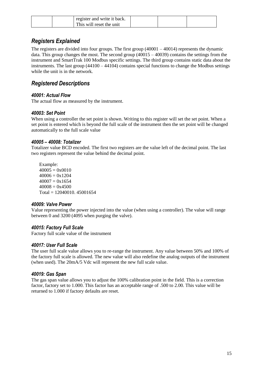|  | register and write it back. |  |  |
|--|-----------------------------|--|--|
|  | This will reset the unit    |  |  |

### <span id="page-14-0"></span>*Registers Explained*

The registers are divided into four groups. The first group  $(40001 - 40014)$  represents the dynamic data. This group changes the most. The second group (40015 – 40039) contains the settings from the instrument and SmartTrak 100 Modbus specific settings. The third group contains static data about the instruments. The last group  $(44100 - 44104)$  contains special functions to change the Modbus settings while the unit is in the network.

### *Registered Descriptions*

#### <span id="page-14-1"></span>*40001: Actual Flow*

The actual flow as measured by the instrument.

#### <span id="page-14-2"></span>*40003: Set Point*

When using a controller the set point is shown. Writing to this register will set the set point. When a set point is entered which is beyond the full scale of the instrument then the set point will be changed automatically to the full scale value

#### <span id="page-14-3"></span>*40005 – 40008: Totalizer*

Totalizer value BCD encoded. The first two registers are the value left of the decimal point. The last two registers represent the value behind the decimal point.

Example:  $40005 = 0x0010$  $40006 = 0x1204$  $40007 = 0x1654$  $40008 = 0x4500$ Total = 12040010. 45001654

#### <span id="page-14-4"></span>*40009: Valve Power*

Value representing the power injected into the value (when using a controller). The value will range between 0 and 3200 (4095 when purging the valve).

#### <span id="page-14-5"></span>*40015: Factory Full Scale*

Factory full scale value of the instrument

#### <span id="page-14-6"></span>*40017: User Full Scale*

The user full scale value allows you to re-range the instrument. Any value between 50% and 100% of the factory full scale is allowed. The new value will also redefine the analog outputs of the instrument (when used). The 20mA/5 Vdc will represent the new full scale value.

#### <span id="page-14-7"></span>*40019: Gas Span*

The gas span value allows you to adjust the 100% calibration point in the field. This is a correction factor, factory set to 1.000. This factor has an acceptable range of .500 to 2.00. This value will be returned to 1.000 if factory defaults are reset.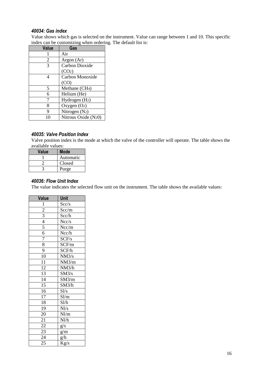#### <span id="page-15-0"></span>*40034: Gas index*

Value shows which gas is selected on the instrument. Value can range between 1 and 10. This specific index can be customizing when ordering. The default list is:

| <b>Value</b> | Gas                        |
|--------------|----------------------------|
|              | Air                        |
| 2            | Argon (Ar)                 |
| 3            | <b>Carbon Dioxide</b>      |
|              | (CO <sub>2</sub> )         |
| Δ            | Carbon Monoxide            |
|              | (CO)                       |
| 5            | Methane (CH <sub>4</sub> ) |
| 6            | Helium (He)                |
| 7            | Hydrogen (H <sub>2</sub> ) |
| 8            | Oxygen (O2)                |
| 9            | Nitrogen (N2)              |
| 10           | Nitrous Oxide (N20)        |

#### <span id="page-15-1"></span>*40035: Valve Position Index*

Valve position index is the mode at which the valve of the controller will operate. The table shows the available values:

| Value | Mode      |
|-------|-----------|
|       | Automatic |
|       | Closed    |
|       | Purge     |

#### <span id="page-15-2"></span>*40036: Flow Unit Index*

The value indicates the selected flow unit on the instrument. The table shows the available values:

| <b>Value</b>                                                                        | Unit           |
|-------------------------------------------------------------------------------------|----------------|
| $\mathbf{1}$                                                                        | Scc/s          |
|                                                                                     | Scc/m          |
|                                                                                     | Scc/h          |
|                                                                                     | Ncc/s          |
| $\frac{2}{3}$ $\frac{3}{4}$ $\frac{4}{5}$ $\frac{6}{6}$ $\frac{7}{7}$ $\frac{8}{9}$ | Ncc/m          |
|                                                                                     | Ncc/h          |
|                                                                                     | SCF/s          |
|                                                                                     | SCF/m          |
|                                                                                     | SCF/h          |
| $\overline{10}$                                                                     | NM3/s          |
| $\overline{11}$                                                                     | NM3/m          |
| $\overline{1}2$                                                                     | NM3/h          |
| $\overline{13}$                                                                     | SM3/s          |
| $\overline{14}$                                                                     | SM3/m          |
| $\overline{15}$                                                                     | SM3/h          |
| 16                                                                                  | $S\frac{1}{s}$ |
| $\overline{17}$                                                                     | Sl/m           |
| 18                                                                                  | S1/h           |
| 19                                                                                  | Nl/s           |
| 20                                                                                  | Nl/m           |
| 21                                                                                  | Nl/h           |
| $\overline{22}$                                                                     | g/s            |
| $\overline{23}$                                                                     | g/m            |
| $\overline{24}$                                                                     | g/h            |
| 25                                                                                  | Kg/s           |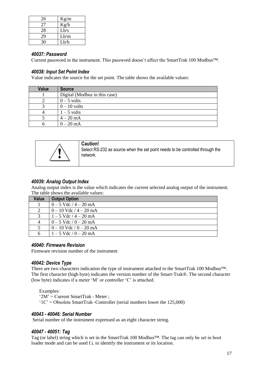| 26 | Kg/m |
|----|------|
| 27 | Kg/h |
| 28 | Lb/s |
| 29 | Lb/m |
| 30 | Lb/h |

#### <span id="page-16-0"></span>*40037: Password*

Current password in the instrument. This password doesn't affect the SmartTrak 100 Modbus™.

#### <span id="page-16-1"></span>*40038: Input Set Point Index*

Value indicates the source for the set point. The table shows the available values:

| <b>Value</b> | <b>Source</b>                 |
|--------------|-------------------------------|
|              | Digital (Modbus in this case) |
|              | $0 - 5$ volts                 |
|              | $0 - 10$ volts                |
|              | $1 - 5$ volts                 |
|              | $4 - 20$ mA                   |
|              | $0 - 20$ mA                   |

|  | <b>Caution!</b><br>Select RS-232 as source when the set point needs to be controlled through the<br>network. |
|--|--------------------------------------------------------------------------------------------------------------|
|--|--------------------------------------------------------------------------------------------------------------|

#### <span id="page-16-2"></span>*40039: Analog Output Index*

Analog output index is the value which indicates the current selected analog output of the instrument. The table shows the available values:

| <b>Value</b> | <b>Output Option</b>       |
|--------------|----------------------------|
|              | $0 - 5$ Vdc $/4 - 20$ mA   |
|              | $0 - 10$ Vdc $/ 4 - 20$ mA |
|              | $1 - 5$ Vdc $/ 4 - 20$ mA  |
|              | $0 - 5$ Vdc $/ 0 - 20$ mA  |
|              | $0 - 10$ Vdc / $0 - 20$ mA |
|              | $1 - 5$ Vdc $/ 0 - 20$ mA  |

#### <span id="page-16-3"></span>*40040: Firmware Revision*

Firmware revision number of the instrument

#### <span id="page-16-4"></span>*40042: Device Type*

There are two characters indication the type of instrument attached to the SmartTrak 100 Modbus™. The first character (high byte) indicates the version number of the Smart-Trak®. The second character (low byte) indicates if a meter 'M' or controller 'C' is attached.

Examples:

'2M' = Current SmartTrak - Meter ;

'1C' = Obsolete SmartTrak -Controller (serial numbers lower the 125,000)

#### <span id="page-16-5"></span>*40043 - 40046: Serial Number*

Serial number of the instrument expressed as an eight character string.

#### <span id="page-16-6"></span>*40047 - 40051: Tag*

Tag (or label) string which is set in the SmartTrak 100 Modbus™. The tag can only be set in boot loader mode and can be used f.i. to identify the instrument or its location.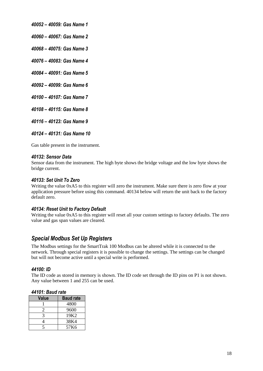<span id="page-17-0"></span>*40052 – 40059: Gas Name 1*

<span id="page-17-1"></span>*40060 – 40067: Gas Name 2*

<span id="page-17-2"></span>*40068 – 40075: Gas Name 3*

<span id="page-17-3"></span>*40076 – 40083: Gas Name 4*

<span id="page-17-4"></span>*40084 – 40091: Gas Name 5*

<span id="page-17-5"></span>*40092 – 40099: Gas Name 6*

<span id="page-17-6"></span>*40100 – 40107: Gas Name 7*

<span id="page-17-7"></span>*40108 – 40115: Gas Name 8*

<span id="page-17-8"></span>*40116 – 40123: Gas Name 9*

<span id="page-17-9"></span>*40124 – 40131: Gas Name 10*

Gas table present in the instrument.

#### <span id="page-17-10"></span>*40132: Sensor Data*

Sensor data from the instrument. The high byte shows the bridge voltage and the low byte shows the bridge current.

#### <span id="page-17-11"></span>*40133: Set Unit To Zero*

Writing the value 0xA5 to this register will zero the instrument. Make sure there is zero flow at your application pressure before using this command. 40134 below will return the unit back to the factory default zero.

#### <span id="page-17-12"></span>*40134: Reset Unit to Factory Default*

Writing the value 0xA5 to this register will reset all your custom settings to factory defaults. The zero value and gas span values are cleared.

#### <span id="page-17-13"></span>*Special Modbus Set Up Registers*

The Modbus settings for the SmartTrak 100 Modbus can be altered while it is connected to the network. Through special registers it is possible to change the settings. The settings can be changed but will not become active until a special write is performed.

#### <span id="page-17-14"></span>*44100: ID*

The ID code as stored in memory is shown. The ID code set through the ID pins on P1 is not shown. Any value between 1 and 255 can be used.

<span id="page-17-15"></span>

|  |  | 44101: Baud rate |  |
|--|--|------------------|--|
|--|--|------------------|--|

| Value | <b>Baud rate</b> |
|-------|------------------|
|       | 4800             |
|       | 9600             |
|       | 19K <sub>2</sub> |
|       | 38K4             |
|       | 57K6             |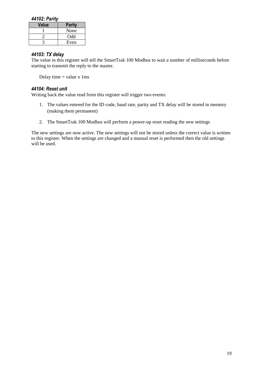#### <span id="page-18-0"></span>*44102: Parity*

| Value | <b>Parity</b> |
|-------|---------------|
|       | None          |
|       | Odd           |
|       | Even          |

#### <span id="page-18-1"></span>*44103: TX delay*

The value in this register will tell the SmartTrak 100 Modbus to wait a number of milliseconds before starting to transmit the reply to the master.

Delay time  $=$  value x 1ms

#### <span id="page-18-2"></span>*44104: Reset unit*

Writing back the value read from this register will trigger two events:

- 1. The values entered for the ID code, baud rate, parity and TX delay will be stored in memory (making them permanent)
- 2. The SmartTrak 100 Modbus will perform a power-up reset reading the new settings

The new settings are now active. The new settings will not be stored unless the correct value is written to this register. When the settings are changed and a manual reset is performed then the old settings will be used.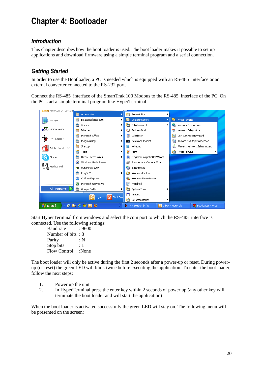## <span id="page-19-0"></span>**Chapter 4: Bootloader**

### <span id="page-19-1"></span>*Introduction*

This chapter describes how the boot loader is used. The boot loader makes it possible to set up applications and download firmware using a simple terminal program and a serial connection.

## <span id="page-19-2"></span>*Getting Started*

In order to use the Bootloader, a PC is needed which is equipped with an RS-485 interface or an external converter connected to the RS-232 port.

Connect the RS-485 interface of the SmartTrak 100 Modbus to the RS-485 interface of the PC. On the PC start a simple terminal program like HyperTerminal.



Start HyperTerminal from windows and select the com port to which the RS-485 interface is connected. Use the following settings:

Baud rate : 9600 Number of bits : 8 Parity : N Stop bits : 1 Flow Control :None

The boot loader will only be active during the first 2 seconds after a power-up or reset. During powerup (or reset) the green LED will blink twice before executing the application. To enter the boot loader, follow the next steps:

- 1. Power up the unit
- 2. In HyperTerminal press the enter key within 2 seconds of power up (any other key will terminate the boot loader and will start the application)

When the boot loader is activated successfully the green LED will stay on. The following menu will be presented on the screen: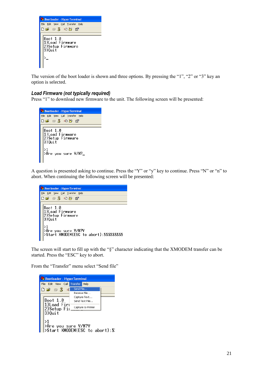

The version of the boot loader is shown and three options. By pressing the "1", "2" or "3" key an option is selected.

#### <span id="page-20-0"></span>*Load Firmware (not typically required)*

Press "1" to download new firmware to the unit. The following screen will be presented:



A question is presented asking to continue. Press the "Y" or "y" key to continue. Press "N" or "n" to abort. When continuing the following screen will be presented:



The screen will start to fill up with the "§" character indicating that the XMODEM transfer can be started. Press the "ESC" key to abort.

From the "Transfer" menu select "Send file"

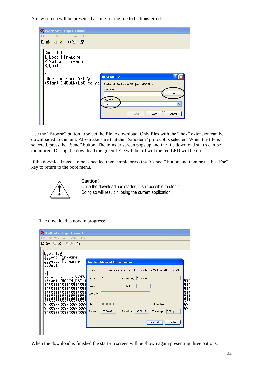A new screen will be presented asking for the file to be transferred:



Use the "Browse" button to select the file to download. Only files with the ".hex" extension can be downloaded to the unit. Also make sure that the "Xmodem" protocol is selected. When the file is selected, press the "Send" button. The transfer screen pops up and the file download status can be monitored. During the download the green LED will be off will the red LED will be on.

If the download needs to be cancelled then simple press the "Cancel" button and then press the "Esc" key to return to the boot menu.



**Caution!** Once the download has started it isn't possible to stop it. Doing so will result in losing the current application. !

The download is now in progress:

| <b>C</b> Bootloader - HyperTerminal                                   |                                                                                 |
|-----------------------------------------------------------------------|---------------------------------------------------------------------------------|
| View Call Transfer Help<br>Edit<br>$\mathbb{Z}$<br>De<br>$\mathbb{Z}$ |                                                                                 |
|                                                                       |                                                                                 |
| Boot 1.0                                                              |                                                                                 |
| 1)Load Firmware<br>2)Setup Firmware                                   |                                                                                 |
| 3)Ouit                                                                | <b>Xmodem file send for Bootloader</b>                                          |
|                                                                       | H:\Engineering\Projects\MODBUS development\Software\100 Series\M<br>Sending:    |
| >1<br>>Are you sure Y/N?y                                             | 32<br>Checksum<br>Packet:<br>Error checking:                                    |
| >Start XMODEM(ESC                                                     | 888                                                                             |
| 8888888888888888888<br>888888888888888888                             | 888<br>In.<br>Retries:<br>١o<br>Total retries:                                  |
| 8888888888888888888                                                   | Last error:                                                                     |
| 888888888888888888                                                    |                                                                                 |
| 88888888888888888<br>8888888888888888888                              | 888<br>4K of 14K<br>File:                                                       |
| 12222222222222222222                                                  | 888<br>00:00:18<br>00:00:06<br>576 cps<br>Remaining:<br>Throughput:<br>Elapsed: |
| 8888888888888888888                                                   |                                                                                 |
|                                                                       | Cancel<br>cps/bps                                                               |
|                                                                       |                                                                                 |
|                                                                       |                                                                                 |

When the download is finished the start-up screen will be shown again presenting three options.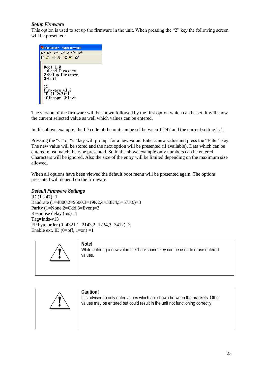#### <span id="page-22-0"></span>*Setup Firmware*

This option is used to set up the firmware in the unit. When pressing the "2" key the following screen will be presented:



The version of the firmware will be shown followed by the first option which can be set. It will show the current selected value as well which values can be entered.

In this above example, the ID code of the unit can be set between 1-247 and the current setting is 1.

Pressing the "C" or "c" key will prompt for a new value. Enter a new value and press the "Enter" key. The new value will be stored and the next option will be presented (if available). Data which can be entered must match the type presented. So in the above example only numbers can be entered. Characters will be ignored. Also the size of the entry will be limited depending on the maximum size allowed.

When all options have been viewed the default boot menu will be presented again. The options presented will depend on the firmware.

#### <span id="page-22-1"></span>*Default Firmware Settings*

ID (1-247)=1 Baudrate (1=4800,2=9600,3=19K2,4=38K4,5=57K6)=3 Parity (1=None,2=Odd,3=Even)=3 Response delay (ms)=4 Tag=Inds-v13 FP byte order (0=4321,1=2143,2=1234,3=3412)=3 Enable ext. ID  $(0=off, 1=on) = 1$